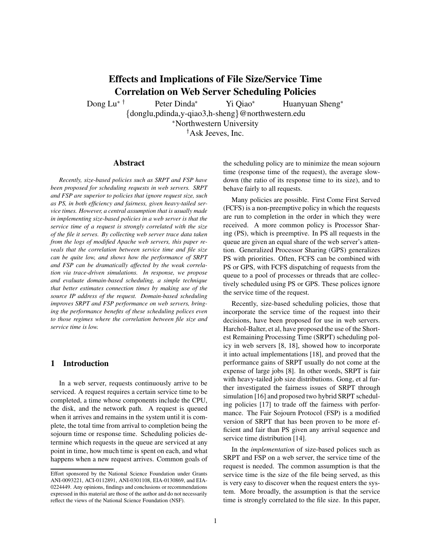# **Effects and Implications of File Size/Service Time Correlation on Web Server Scheduling Policies**

Dong Lu<sup> $*$ †</sup> Peter Dinda<sup>\*</sup>

Yi Qiao

Huanyuan Sheng donglu,pdinda,y-qiao3,h-sheng@northwestern.edu

Northwestern University

Ask Jeeves, Inc.

#### **Abstract**

*Recently, size-based policies such as SRPT and FSP have been proposed for scheduling requests in web servers. SRPT and FSP are superior to policies that ignore request size, such as PS, in both efficiency and fairness, given heavy-tailed service times. However, a central assumption that is usually made in implementing size-based policies in a web server is that the service time of a request is strongly correlated with the size of the file it serves. By collecting web server trace data taken from the logs of modified Apache web servers, this paper reveals that the correlation between service time and file size can be quite low, and shows how the performance of SRPT and FSP can be dramatically affected by the weak correlation via trace-driven simulations. In response, we propose and evaluate domain-based scheduling, a simple technique that better estimates connection times by making use of the source IP address of the request. Domain-based scheduling improves SRPT and FSP performance on web servers, bringing the performance benefits of these scheduling polices even to those regimes where the correlation between file size and service time is low.*

## **1 Introduction**

In a web server, requests continuously arrive to be serviced. A request requires a certain service time to be completed, a time whose components include the CPU, the disk, and the network path. A request is queued when it arrives and remains in the system until it is complete, the total time from arrival to completion being the sojourn time or response time. Scheduling policies determine which requests in the queue are serviced at any point in time, how much time is spent on each, and what happens when a new request arrives. Common goals of

the scheduling policy are to minimize the mean sojourn time (response time of the request), the average slowdown (the ratio of its response time to its size), and to behave fairly to all requests.

Many policies are possible. First Come First Served (FCFS) is a non-preemptive policy in which the requests are run to completion in the order in which they were received. A more common policy is Processor Sharing (PS), which is preemptive. In PS all requests in the queue are given an equal share of the web server's attention. Generalized Processor Sharing (GPS) generalizes PS with priorities. Often, FCFS can be combined with PS or GPS, with FCFS dispatching of requests from the queue to a pool of processes or threads that are collectively scheduled using PS or GPS. These polices ignore the service time of the request.

Recently, size-based scheduling policies, those that incorporate the service time of the request into their decisions, have been proposed for use in web servers. Harchol-Balter, et al, have proposed the use of the Shortest Remaining Processing Time (SRPT) scheduling policy in web servers [8, 18], showed how to incorporate it into actual implementations [18], and proved that the performance gains of SRPT usually do not come at the expense of large jobs [8]. In other words, SRPT is fair with heavy-tailed job size distributions. Gong, et al further investigated the fairness issues of SRPT through simulation [16] and proposed two hybrid SRPT scheduling policies [17] to trade off the fairness with performance. The Fair Sojourn Protocol (FSP) is a modified version of SRPT that has been proven to be more efficient and fair than PS given any arrival sequence and service time distribution [14].

In the *implementation* of size-based polices such as SRPT and FSP on a web server, the service time of the request is needed. The common assumption is that the service time is the size of the file being served, as this is very easy to discover when the request enters the system. More broadly, the assumption is that the service time is strongly correlated to the file size. In this paper,

Effort sponsored by the National Science Foundation under Grants ANI-0093221, ACI-0112891, ANI-0301108, EIA-0130869, and EIA-0224449. Any opinions, findings and conclusions or recommendations expressed in this material are those of the author and do not necessarily reflect the views of the National Science Foundation (NSF).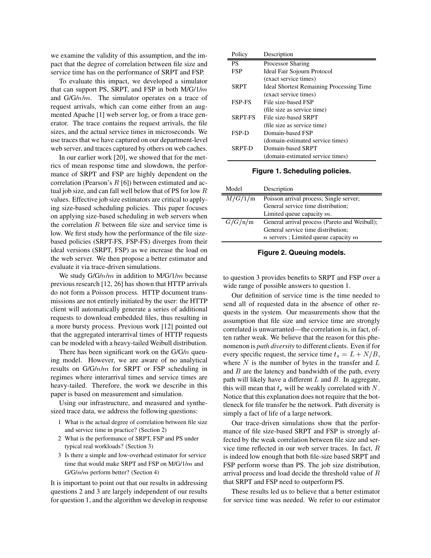we examine the validity of this assumption, and the impact that the degree of correlation between file size and service time has on the performance of SRPT and FSP.

To evaluate this impact, we developed a simulator that can support PS, SRPT, and FSP in both  $M/G/1/m$ and  $G/G/n/m$ . The simulator operates on a trace of request arrivals, which can come either from an augmented Apache [1] web server log, or from a trace generator. The trace contains the request arrivals, the file sizes, and the actual service times in microseconds. We use traces that we have captured on our department-level web server, and traces captured by others on web caches.

In our earlier work [20], we showed that for the metrics of mean response time and slowdown, the performance of SRPT and FSP are highly dependent on the correlation (Pearson's  $R$  [6]) between estimated and actual job size, and can fall well below that of PS for low  $R$ values. Effective job size estimators are critical to applying size-based scheduling policies. This paper focuses on applying size-based scheduling in web servers when the correlation  $R$  between file size and service time is low. We first study how the performance of the file sizebased policies (SRPT-FS, FSP-FS) diverges from their ideal versions (SRPT, FSP) as we increase the load on the web server. We then propose a better estimator and evaluate it via trace-driven simulations.

We study  $G/G/n/m$  in addition to  $M/G/1/m$  because previous research [12, 26] has shown that HTTP arrivals do not form a Poisson process. HTTP document transmissions are not entirely initiated by the user: the HTTP client will automatically generate a series of additional requests to download embedded files, thus resulting in a more bursty process. Previous work [12] pointed out that the aggregated interarrival times of HTTP requests can be modeled with a heavy-tailed Weibull distribution.

There has been significant work on the  $G/G/n$  queuing model. However, we are aware of no analytical results on  $G/G/n/m$  for SRPT or FSP scheduling in regimes where interarrival times and service times are heavy-tailed. Therefore, the work we describe in this paper is based on measurement and simulation.

Using our infrastructure, and measured and synthesized trace data, we address the following questions:

- 1 What is the actual degree of correlation between file size and service time in practice? (Section 2)
- 2 What is the performance of SRPT, FSP and PS under typical real workloads? (Section 3)
- 3 Is there a simple and low-overhead estimator for service time that would make SRPT and FSP on  $M/G/1/m$  and  $G/G/n/m$  perform better? (Section 4)

It is important to point out that our results in addressing questions 2 and 3 are largely independent of our results for question 1, and the algorithm we develop in response

| Policy         | Description                                     |  |  |  |
|----------------|-------------------------------------------------|--|--|--|
| PS             | Processor Sharing                               |  |  |  |
| <b>FSP</b>     | <b>Ideal Fair Sojourn Protocol</b>              |  |  |  |
|                | (exact service times)                           |  |  |  |
| <b>SRPT</b>    | <b>Ideal Shortest Remaining Processing Time</b> |  |  |  |
|                | (exact service times)                           |  |  |  |
| <b>FSP-FS</b>  | File size-based FSP                             |  |  |  |
|                | (file size as service time)                     |  |  |  |
| <b>SRPT-FS</b> | File size-based SRPT                            |  |  |  |
|                | (file size as service time)                     |  |  |  |
| <b>FSP-D</b>   | Domain-based FSP                                |  |  |  |
|                | (domain-estimated service times)                |  |  |  |
| <b>SRPT-D</b>  | Domain-based SRPT                               |  |  |  |
|                | (domain-estimated service times)                |  |  |  |

**Figure 1. Scheduling policies.**

| Model   | Description                                   |  |  |
|---------|-----------------------------------------------|--|--|
| M/G/1/m | Poisson arrival process; Single server;       |  |  |
|         | General service time distribution;            |  |  |
|         | Limited queue capacity $m$ .                  |  |  |
| G/G/n/m | General arrival process (Pareto and Weibull); |  |  |
|         | General service time distribution:            |  |  |
|         | $n$ servers; Limited queue capacity $m$       |  |  |
|         |                                               |  |  |

#### **Figure 2. Queuing models.**

to question 3 provides benefits to SRPT and FSP over a wide range of possible answers to question 1.

Our definition of service time is the time needed to send all of requested data in the absence of other requests in the system. Our measurements show that the assumption that file size and service time are strongly correlated is unwarranted—the correlation is, in fact, often rather weak. We believe that the reason for this phenomenon is *path diversity* to different clients. Even if for every specific request, the service time  $t_s = L + N/B$ , where  $N$  is the number of bytes in the transfer and  $L$ and  $B$  are the latency and bandwidth of the path, every path will likely have a different  $L$  and  $B$ . In aggregate, this will mean that  $t_s$  will be weakly correlated with N. Notice that this explanation does not require that the bottleneck for file transfer be the network. Path diversity is simply a fact of life of a large network.

Our trace-driven simulations show that the performance of file size-based SRPT and FSP is strongly affected by the weak correlation between file size and service time reflected in our web server traces. In fact,  $R$ is indeed low enough that both file-size based SRPT and FSP perform worse than PS. The job size distribution, arrival process and load decide the threshold value of  $R$ that SRPT and FSP need to outperform PS.

These results led us to believe that a better estimator for service time was needed. We refer to our estimator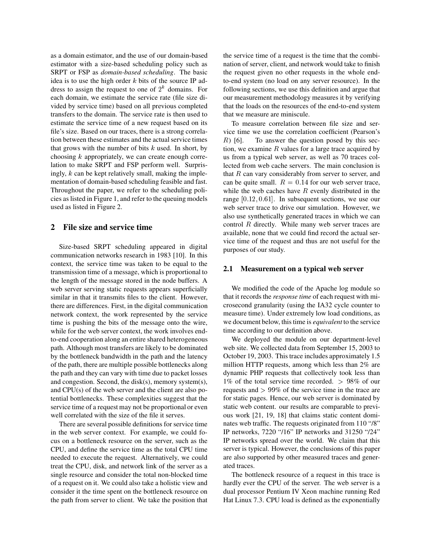as a domain estimator, and the use of our domain-based estimator with a size-based scheduling policy such as SRPT or FSP as *domain-based scheduling*. The basic idea is to use the high order  $k$  bits of the source IP address to assign the request to one of  $2<sup>k</sup>$  domains. For each domain, we estimate the service rate (file size divided by service time) based on all previous completed transfers to the domain. The service rate is then used to estimate the service time of a new request based on its file's size. Based on our traces, there is a strong correlation between these estimates and the actual service times that grows with the number of bits  $k$  used. In short, by choosing  $k$  appropriately, we can create enough correlation to make SRPT and FSP perform well. Surprisingly,  $k$  can be kept relatively small, making the implementation of domain-based scheduling feasible and fast. Throughout the paper, we refer to the scheduling policies as listed in Figure 1, and refer to the queuing models used as listed in Figure 2.

## **2 File size and service time**

Size-based SRPT scheduling appeared in digital communication networks research in 1983 [10]. In this context, the service time was taken to be equal to the transmission time of a message, which is proportional to the length of the message stored in the node buffers. A web server serving static requests appears superficially similar in that it transmits files to the client. However, there are differences. First, in the digital communication network context, the work represented by the service time is pushing the bits of the message onto the wire, while for the web server context, the work involves endto-end cooperation along an entire shared heterogeneous path. Although most transfers are likely to be dominated by the bottleneck bandwidth in the path and the latency of the path, there are multiple possible bottlenecks along the path and they can vary with time due to packet losses and congestion. Second, the disk(s), memory system(s), and CPU(s) of the web server and the client are also potential bottlenecks. These complexities suggest that the service time of a request may not be proportional or even well correlated with the size of the file it serves.

There are several possible definitions for service time in the web server context. For example, we could focus on a bottleneck resource on the server, such as the CPU, and define the service time as the total CPU time needed to execute the request. Alternatively, we could treat the CPU, disk, and network link of the server as a single resource and consider the total non-blocked time of a request on it. We could also take a holistic view and consider it the time spent on the bottleneck resource on the path from server to client. We take the position that

the service time of a request is the time that the combination of server, client, and network would take to finish the request given no other requests in the whole endto-end system (no load on any server resource). In the following sections, we use this definition and argue that our measurement methodology measures it by verifying that the loads on the resources of the end-to-end system that we measure are miniscule.

To measure correlation between file size and service time we use the correlation coefficient (Pearson's  $R$ ) [6]. To answer the question posed by this section, we examine  $R$  values for a large trace acquired by us from a typical web server, as well as 70 traces collected from web cache servers. The main conclusion is that  $R$  can vary considerably from server to server, and can be quite small.  $R = 0.14$  for our web server trace, while the web caches have  $R$  evenly distributed in the range  $[0.12, 0.61]$ . In subsequent sections, we use our web server trace to drive our simulation. However, we also use synthetically generated traces in which we can control  $R$  directly. While many web server traces are available, none that we could find record the actual service time of the request and thus are not useful for the purposes of our study.

#### **2.1 Measurement on a typical web server**

We modified the code of the Apache log module so that it records the *response time* of each request with microsecond granularity (using the IA32 cycle counter to measure time). Under extremely low load conditions, as we document below, this time is *equivalent* to the service time according to our definition above.

We deployed the module on our department-level web site. We collected data from September 15, 2003 to October 19, 2003. This trace includes approximately 1.5 million HTTP requests, among which less than 2% are dynamic PHP requests that collectively took less than 1% of the total service time recorded.  $> 98\%$  of our requests and  $> 99\%$  of the service time in the trace are for static pages. Hence, our web server is dominated by static web content. our results are comparable to previous work [21, 19, 18] that claims static content dominates web traffic. The requests originated from 110 "/8" IP networks, 7220 "/16" IP networks and 31250 "/24" IP networks spread over the world. We claim that this server is typical. However, the conclusions of this paper are also supported by other measured traces and generated traces.

The bottleneck resource of a request in this trace is hardly ever the CPU of the server. The web server is a dual processor Pentium IV Xeon machine running Red Hat Linux 7.3. CPU load is defined as the exponentially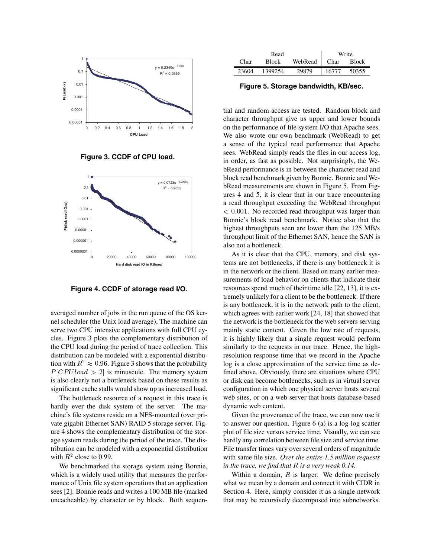

**Figure 3. CCDF of CPU load.**



**Figure 4. CCDF of storage read I/O.**

averaged number of jobs in the run queue of the OS kernel scheduler (the Unix load average), The machine can serve two CPU intensive applications with full CPU cycles. Figure 3 plots the complementary distribution of the CPU load during the period of trace collection. This distribution can be modeled with a exponential distribution with  $R^2 \approx 0.96$ . Figure 3 shows that the probability  $P[CPUload > 2]$  is minuscule. The memory system is also clearly not a bottleneck based on these results as significant cache stalls would show up as increased load.

The bottleneck resource of a request in this trace is hardly ever the disk system of the server. The machine's file systems reside on a NFS-mounted (over private gigabit Ethernet SAN) RAID 5 storage server. Figure 4 shows the complementary distribution of the storage system reads during the period of the trace. The distribution can be modeled with a exponential distribution with  $R^2$  close to 0.99.

We benchmarked the storage system using Bonnie, which is a widely used utility that measures the performance of Unix file system operations that an application sees [2]. Bonnie reads and writes a 100 MB file (marked uncacheable) by character or by block. Both sequen-

| Read  |              |         | Write |              |
|-------|--------------|---------|-------|--------------|
| Char. | <b>Block</b> | WebRead | Char  | <b>Block</b> |
| 23604 | 1399254      | 29879   | 16777 | 50355        |

**Figure 5. Storage bandwidth, KB/sec.**

tial and random access are tested. Random block and character throughput give us upper and lower bounds on the performance of file system I/O that Apache sees. We also wrote our own benchmark (WebRead) to get a sense of the typical read performance that Apache sees. WebRead simply reads the files in our access log, in order, as fast as possible. Not surprisingly, the WebRead performance is in between the character read and block read benchmark given by Bonnie. Bonnie and WebRead measurements are shown in Figure 5. From Figures 4 and 5, it is clear that in our trace encountering a read throughput exceeding the WebRead throughput  $< 0.001$ . No recorded read throughput was larger than Bonnie's block read benchmark. Notice also that the highest throughputs seen are lower than the 125 MB/s throughput limit of the Ethernet SAN, hence the SAN is also not a bottleneck.

As it is clear that the CPU, memory, and disk systems are not bottlenecks, if there is any bottleneck it is in the network or the client. Based on many earlier measurements of load behavior on clients that indicate their resources spend much of their time idle [22, 13], it is extremely unlikely for a client to be the bottleneck. If there is any bottleneck, it is in the network path to the client, which agrees with earlier work [24, 18] that showed that the network is the bottleneck for the web servers serving mainly static content. Given the low rate of requests, it is highly likely that a single request would perform similarly to the requests in our trace. Hence, the highresolution response time that we record in the Apache log is a close approximation of the service time as defined above. Obviously, there are situations where CPU or disk can become bottlenecks, such as in virtual server configuration in which one physical server hosts several web sites, or on a web server that hosts database-based dynamic web content.

Given the provenance of the trace, we can now use it to answer our question. Figure 6 (a) is a log-log scatter plot of file size versus service time. Visually, we can see hardly any correlation between file size and service time. File transfer times vary over several orders of magnitude with same file size. *Over the entire 1.5 million requests in the trace, we find that R is a very weak 0.14.* 

Within a domain,  $R$  is larger. We define precisely what we mean by a domain and connect it with CIDR in Section 4. Here, simply consider it as a single network that may be recursively decomposed into subnetworks.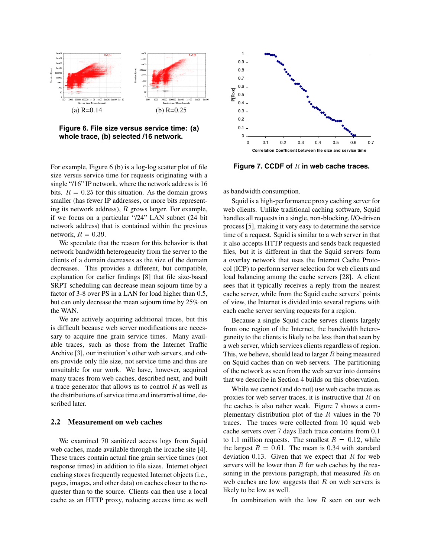

**Figure 6. File size versus service time: (a) whole trace, (b) selected /16 network.**

For example, Figure 6 (b) is a log-log scatter plot of file size versus service time for requests originating with a single "/16" IP network, where the network address is 16 bits.  $R = 0.25$  for this situation. As the domain grows smaller (has fewer IP addresses, or more bits representing its network address),  $R$  grows larger. For example, if we focus on a particular "/24" LAN subnet (24 bit network address) that is contained within the previous network,  $R = 0.39$ .

We speculate that the reason for this behavior is that network bandwidth heterogeneity from the server to the clients of a domain decreases as the size of the domain decreases. This provides a different, but compatible, explanation for earlier findings [8] that file size-based SRPT scheduling can decrease mean sojourn time by a factor of 3-8 over PS in a LAN for load higher than 0.5, but can only decrease the mean sojourn time by 25% on the WAN.

We are actively acquiring additional traces, but this is difficult because web server modifications are necessary to acquire fine grain service times. Many available traces, such as those from the Internet Traffic Archive [3], our institution's other web servers, and others provide only file size, not service time and thus are unsuitable for our work. We have, however, acquired many traces from web caches, described next, and built a trace generator that allows us to control  $R$  as well as the distributions of service time and interarrival time, described later.

## **2.2 Measurement on web caches**

We examined 70 sanitized access logs from Squid web caches, made available through the ircache site [4]. These traces contain actual fine grain service times (not response times) in addition to file sizes. Internet object caching stores frequently requested Internet objects (i.e., pages, images, and other data) on caches closer to the requester than to the source. Clients can then use a local cache as an HTTP proxy, reducing access time as well



Figure 7. CCDF of  $R$  in web cache traces.

as bandwidth consumption.

Squid is a high-performance proxy caching server for web clients. Unlike traditional caching software, Squid handles all requests in a single, non-blocking, I/O-driven process [5], making it very easy to determine the service time of a request. Squid is similar to a web server in that it also accepts HTTP requests and sends back requested files, but it is different in that the Squid servers form a overlay network that uses the Internet Cache Protocol (ICP) to perform server selection for web clients and load balancing among the cache servers [28]. A client sees that it typically receives a reply from the nearest cache server, while from the Squid cache servers' points of view, the Internet is divided into several regions with each cache server serving requests for a region.

Because a single Squid cache serves clients largely from one region of the Internet, the bandwidth heterogeneity to the clients is likely to be less than that seen by a web server, which services clients regardless of region. This, we believe, should lead to larger  $R$  being measured on Squid caches than on web servers. The partitioning of the network as seen from the web server into domains that we describe in Section 4 builds on this observation.

While we cannot (and do not) use web cache traces as proxies for web server traces, it is instructive that  $R$  on the caches is also rather weak. Figure 7 shows a complementary distribution plot of the  $R$  values in the 70 traces. The traces were collected from 10 squid web cache servers over 7 days Each trace contains from 0.1 to 1.1 million requests. The smallest  $R = 0.12$ , while the largest  $R = 0.61$ . The mean is 0.34 with standard deviation 0.13. Given that we expect that  $R$  for web servers will be lower than  $R$  for web caches by the reasoning in the previous paragraph, that measured  $Rs$  on web caches are low suggests that  $R$  on web servers is likely to be low as well.

In combination with the low  $R$  seen on our web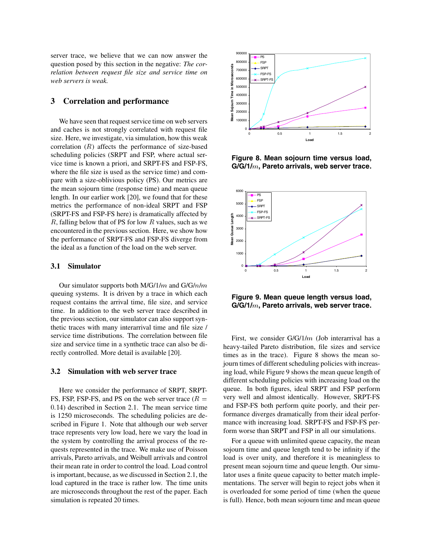server trace, we believe that we can now answer the question posed by this section in the negative: *The correlation between request file size and service time on web servers is weak.*

## **3 Correlation and performance**

We have seen that request service time on web servers and caches is not strongly correlated with request file size. Here, we investigate, via simulation, how this weak correlation  $(R)$  affects the performance of size-based scheduling policies (SRPT and FSP, where actual service time is known a priori, and SRPT-FS and FSP-FS, where the file size is used as the service time) and compare with a size-oblivious policy (PS). Our metrics are the mean sojourn time (response time) and mean queue length. In our earlier work [20], we found that for these metrics the performance of non-ideal SRPT and FSP (SRPT-FS and FSP-FS here) is dramatically affected by  $R$ , falling below that of PS for low  $R$  values, such as we encountered in the previous section. Here, we show how the performance of SRPT-FS and FSP-FS diverge from the ideal as a function of the load on the web server.

## **3.1 Simulator**

Our simulator supports both  $M/G/1/m$  and  $G/G/n/m$ queuing systems. It is driven by a trace in which each request contains the arrival time, file size, and service time. In addition to the web server trace described in the previous section, our simulator can also support synthetic traces with many interarrival time and file size / service time distributions. The correlation between file size and service time in a synthetic trace can also be directly controlled. More detail is available [20].

#### **3.2 Simulation with web server trace**

Here we consider the performance of SRPT, SRPT-FS, FSP, FSP-FS, and PS on the web server trace  $(R =$  ) described in Section 2.1. The mean service time is 1250 microseconds. The scheduling policies are described in Figure 1. Note that although our web server trace represents very low load, here we vary the load in the system by controlling the arrival process of the requests represented in the trace. We make use of Poisson arrivals, Pareto arrivals, and Weibull arrivals and control their mean rate in order to control the load. Load control is important, because, as we discussed in Section 2.1, the load captured in the trace is rather low. The time units are microseconds throughout the rest of the paper. Each simulation is repeated 20 times.



**Figure 8. Mean sojourn time versus load, G/G/1/, Pareto arrivals, web server trace.**



**Figure 9. Mean queue length versus load, G/G/1/, Pareto arrivals, web server trace.**

and FSP-FS both perform quite poorly, and their per-First, we consider  $G/G/1/m$  (Job interarrival has a heavy-tailed Pareto distribution, file sizes and service times as in the trace). Figure 8 shows the mean sojourn times of different scheduling policies with increasing load, while Figure 9 shows the mean queue length of different scheduling policies with increasing load on the queue. In both figures, ideal SRPT and FSP perform very well and almost identically. However, SRPT-FS formance diverges dramatically from their ideal performance with increasing load. SRPT-FS and FSP-FS perform worse than SRPT and FSP in all our simulations.

> For a queue with unlimited queue capacity, the mean sojourn time and queue length tend to be infinity if the load is over unity, and therefore it is meaningless to present mean sojourn time and queue length. Our simulator uses a finite queue capacity to better match implementations. The server will begin to reject jobs when it is overloaded for some period of time (when the queue is full). Hence, both mean sojourn time and mean queue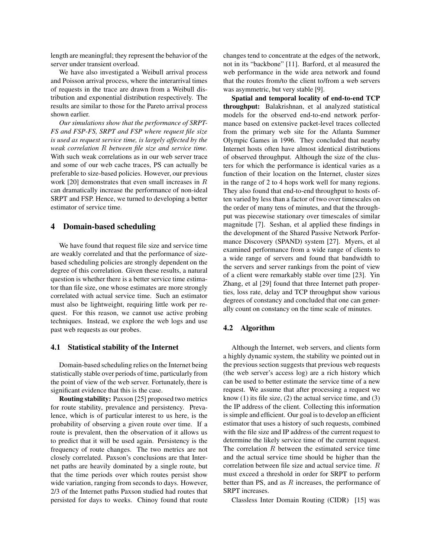length are meaningful; they represent the behavior of the server under transient overload.

We have also investigated a Weibull arrival process and Poisson arrival process, where the interarrival times of requests in the trace are drawn from a Weibull distribution and exponential distribution respectively. The results are similar to those for the Pareto arrival process shown earlier.

*Our simulations show that the performance of SRPT-FS and FSP-FS, SRPT and FSP where request file size is used as request service time, is largely affected by the* weak correlation R between file size and service time. With such weak correlations as in our web server trace and some of our web cache traces, PS can actually be preferable to size-based policies. However, our previous work [20] demonstrates that even small increases in  $$ can dramatically increase the performance of non-ideal SRPT and FSP. Hence, we turned to developing a better estimator of service time.

## **4 Domain-based scheduling**

We have found that request file size and service time are weakly correlated and that the performance of sizebased scheduling policies are strongly dependent on the degree of this correlation. Given these results, a natural question is whether there is a better service time estimator than file size, one whose estimates are more strongly correlated with actual service time. Such an estimator must also be lightweight, requiring little work per request. For this reason, we cannot use active probing techniques. Instead, we explore the web logs and use past web requests as our probes.

#### **4.1 Statistical stability of the Internet**

Domain-based scheduling relies on the Internet being statistically stable over periods of time, particularly from the point of view of the web server. Fortunately, there is significant evidence that this is the case.

**Routing stability:** Paxson [25] proposed two metrics for route stability, prevalence and persistency. Prevalence, which is of particular interest to us here, is the probability of observing a given route over time. If a route is prevalent, then the observation of it allows us to predict that it will be used again. Persistency is the frequency of route changes. The two metrics are not closely correlated. Paxson's conclusions are that Internet paths are heavily dominated by a single route, but that the time periods over which routes persist show wide variation, ranging from seconds to days. However, 2/3 of the Internet paths Paxson studied had routes that persisted for days to weeks. Chinoy found that route

changes tend to concentrate at the edges of the network, not in its "backbone" [11]. Barford, et al measured the web performance in the wide area network and found that the routes from/to the client to/from a web servers was asymmetric, but very stable [9].

 in the range of 2 to 4 hops work well for many regions. **Spatial and temporal locality of end-to-end TCP throughput:** Balakrishnan, et al analyzed statistical models for the observed end-to-end network performance based on extensive packet-level traces collected from the primary web site for the Atlanta Summer Olympic Games in 1996. They concluded that nearby Internet hosts often have almost identical distributions of observed throughput. Although the size of the clusters for which the performance is identical varies as a function of their location on the Internet, cluster sizes They also found that end-to-end throughput to hosts often varied by less than a factor of two over timescales on the order of many tens of minutes, and that the throughput was piecewise stationary over timescales of similar magnitude [7]. Seshan, et al applied these findings in the development of the Shared Passive Network Performance Discovery (SPAND) system [27]. Myers, et al examined performance from a wide range of clients to a wide range of servers and found that bandwidth to the servers and server rankings from the point of view of a client were remarkably stable over time [23]. Yin Zhang, et al [29] found that three Internet path properties, loss rate, delay and TCP throughput show various degrees of constancy and concluded that one can generally count on constancy on the time scale of minutes.

#### **4.2 Algorithm**

Although the Internet, web servers, and clients form a highly dynamic system, the stability we pointed out in the previous section suggests that previous web requests (the web server's access log) are a rich history which can be used to better estimate the service time of a new request. We assume that after processing a request we know  $(1)$  its file size,  $(2)$  the actual service time, and  $(3)$ the IP address of the client. Collecting this information is simple and efficient. Our goal is to develop an efficient estimator that uses a history of such requests, combined with the file size and IP address of the current request to determine the likely service time of the current request. The correlation  $R$  between the estimated service time and the actual service time should be higher than the correlation between file size and actual service time.  $R$ must exceed a threshold in order for SRPT to perform better than PS, and as  $R$  increases, the performance of SRPT increases.

Classless Inter Domain Routing (CIDR) [15] was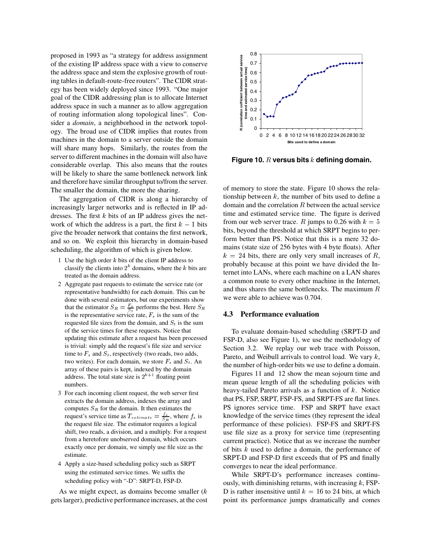proposed in 1993 as "a strategy for address assignment of the existing IP address space with a view to conserve the address space and stem the explosive growth of routing tables in default-route-free routers". The CIDR strategy has been widely deployed since 1993. "One major goal of the CIDR addressing plan is to allocate Internet address space in such a manner as to allow aggregation of routing information along topological lines". Consider a *domain*, a neighborhood in the network topology. The broad use of CIDR implies that routes from machines in the domain to a server outside the domain will share many hops. Similarly, the routes from the server to different machines in the domain will also have considerable overlap. This also means that the routes will be likely to share the same bottleneck network link and therefore have similar throughput to/from the server. The smaller the domain, the more the sharing.

The aggregation of CIDR is along a hierarchy of increasingly larger networks and is reflected in IP addresses. The first  $k$  bits of an IP address gives the network of which the address is a part, the first  $k - 1$  bits give the broader network that contains the first network, and so on. We exploit this hierarchy in domain-based scheduling, the algorithm of which is given below.

- 1 Use the high order  $k$  bits of the client IP address to classify the clients into  $2^k$  domains, where the k bits are treated as the domain address.
- 2 Aggregate past requests to estimate the service rate (or representative bandwidth) for each domain. This can be done with several estimators, but our experiments show that the estimator  $S_R = \frac{F_s}{S_t}$  performs the best. Here  $S_R$ is the representative service rate,  $F_s$  is the sum of the requested file sizes from the domain, and  $S_t$  is the sum of the service times for these requests. Notice that updating this estimate after a request has been processed is trivial: simply add the request's file size and service time to  $F_s$  and  $S_t$ , respectively (two reads, two adds, two writes). For each domain, we store  $F_s$  and  $S_t$ . An array of these pairs is kept, indexed by the domain address. The total state size is  $2^{k+1}$  floating point numbers.
- 3 For each incoming client request, the web server first extracts the domain address, indexes the array and computes  $S_R$  for the domain. It then estimates the request's service time as  $T_{estimate} = \frac{fs}{5}$ , where  $f_s$  is the request file size. The estimator requires a logical shift, two reads, a division, and a multiply. For a request from a heretofore unobserved domain, which occurs exactly once per domain, we simply use file size as the estimate.
- 4 Apply a size-based scheduling policy such as SRPT using the estimated service times. We suffix the scheduling policy with "-D": SRPT-D, FSP-D.

As we might expect, as domains become smaller  $(k)$ gets larger), predictive performance increases, at the cost



Figure 10.  $R$  versus bits  $k$  defining domain.

of memory to store the state. Figure 10 shows the relationship between  $k$ , the number of bits used to define a domain and the correlation  $R$  between the actual service time and estimated service time. The figure is derived from our web server trace. R jumps to 0.26 with  $k=5$ bits, beyond the threshold at which SRPT begins to perform better than PS. Notice that this is a mere 32 domains (state size of 256 bytes with 4 byte floats). After  $k = 24$  bits, there are only very small increases of R, probably because at this point we have divided the Internet into LANs, where each machine on a LAN shares a common route to every other machine in the Internet, and thus shares the same bottlenecks. The maximum  $R$ we were able to achieve was 0.704.

## **4.3 Performance evaluation**

To evaluate domain-based scheduling (SRPT-D and FSP-D, also see Figure 1), we use the methodology of Section 3.2. We replay our web trace with Poisson, Pareto, and Weibull arrivals to control load. We vary  $k$ , the number of high-order bits we use to define a domain.

Figures 11 and 12 show the mean sojourn time and mean queue length of all the scheduling policies with heavy-tailed Pareto arrivals as a function of  $k$ . Notice that PS, FSP, SRPT, FSP-FS, and SRPT-FS are flat lines. PS ignores service time. FSP and SRPT have exact knowledge of the service times (they represent the ideal performance of these policies). FSP-FS and SRPT-FS use file size as a proxy for service time (representing current practice). Notice that as we increase the number of bits  $k$  used to define a domain, the performance of SRPT-D and FSP-D first exceeds that of PS and finally converges to near the ideal performance.

While SRPT-D's performance increases continuously, with diminishing returns, with increasing  $k$ , FSP-D is rather insensitive until  $k = 16$  to 24 bits, at which point its performance jumps dramatically and comes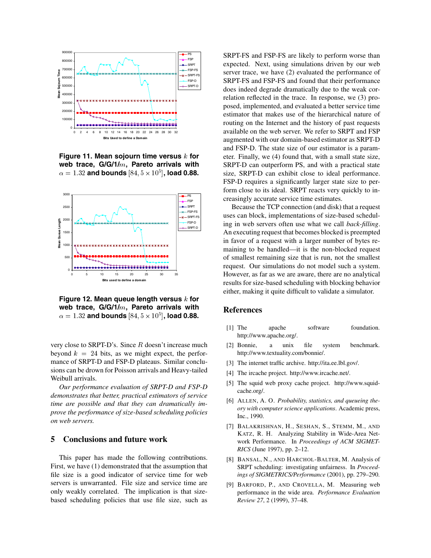

**Figure 11. Mean sojourn time versus for web trace, G/G/1/, Pareto arrivals with**  $\alpha=1.32$  and bounds  $[84,5\times10^5]$ , load 0.88.



**Figure 12. Mean queue length versus for web trace, G/G/1/, Pareto arrivals with**  $\alpha=1.32$  and bounds  $[84,5\times10^5]$ , load 0.88.

very close to SRPT-D's. Since  $R$  doesn't increase much beyond  $k = 24$  bits, as we might expect, the performance of SRPT-D and FSP-D plateaus. Similar conclusions can be drown for Poisson arrivals and Heavy-tailed Weibull arrivals.

*Our performance evaluation of SRPT-D and FSP-D demonstrates that better, practical estimators of service time are possible and that they can dramatically improve the performance of size-based scheduling policies on web servers.*

## **5 Conclusions and future work**

This paper has made the following contributions. First, we have (1) demonstrated that the assumption that file size is a good indicator of service time for web servers is unwarranted. File size and service time are only weakly correlated. The implication is that sizebased scheduling policies that use file size, such as

SRPT-FS and FSP-FS are likely to perform worse than expected. Next, using simulations driven by our web server trace, we have (2) evaluated the performance of SRPT-FS and FSP-FS and found that their performance does indeed degrade dramatically due to the weak correlation reflected in the trace. In response, we (3) proposed, implemented, and evaluated a better service time estimator that makes use of the hierarchical nature of routing on the Internet and the history of past requests available on the web server. We refer to SRPT and FSP augmented with our domain-based estimator as SRPT-D and FSP-D. The state size of our estimator is a parameter. Finally, we (4) found that, with a small state size, SRPT-D can outperform PS, and with a practical state size, SRPT-D can exhibit close to ideal performance. FSP-D requires a significantly larger state size to perform close to its ideal. SRPT reacts very quickly to increasingly accurate service time estimates.

Because the TCP connection (and disk) that a request uses can block, implementations of size-based scheduling in web servers often use what we call *back-filling*. An executing request that becomes blocked is preempted in favor of a request with a larger number of bytes remaining to be handled—it is the non-blocked request of smallest remaining size that is run, not the smallest request. Our simulations do not model such a system. However, as far as we are aware, there are no analytical results for size-based scheduling with blocking behavior either, making it quite difficult to validate a simulator.

## **References**

- [1] The apache software foundation. http://www.apache.org/.
- [2] Bonnie, a unix file system benchmark. http://www.textuality.com/bonnie/.
- [3] The internet traffic archive. http://ita.ee.lbl.gov/.
- [4] The ircache project. http://www.ircache.net/.
- [5] The squid web proxy cache project. http://www.squidcache.org/.
- [6] ALLEN, A. O. *Probability, statistics, and queueing theory with computer science applications*. Academic press, Inc., 1990.
- [7] BALAKRISHNAN, H., SESHAN, S., STEMM, M., AND KATZ, R. H. Analyzing Stability in Wide-Area Network Performance. In *Proceedings of ACM SIGMET-RICS* (June 1997), pp. 2–12.
- [8] BANSAL, N., AND HARCHOL-BALTER, M. Analysis of SRPT scheduling: investigating unfairness. In *Proceedings of SIGMETRICS/Performance* (2001), pp. 279–290.
- [9] BARFORD, P., AND CROVELLA, M. Measuring web performance in the wide area. *Performance Evaluation Review 27*, 2 (1999), 37–48.